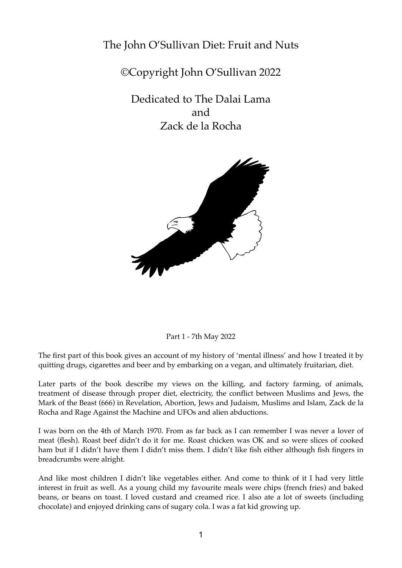The John O'Sullivan Diet: Fruit and Nuts

©Copyright John O'Sullivan 2022

Dedicated to The Dalai Lama and Zack de la Rocha



Part 1 - 7th May 2022

The first part of this book gives an account of my history of 'mental illness' and how I treated it by quitting drugs, cigarettes and beer and by embarking on a vegan, and ultimately fruitarian, diet.

Later parts of the book describe my views on the killing, and factory farming, of animals, treatment of disease through proper diet, electricity, the conflict between Muslims and Jews, the Mark of the Beast (666) in Revelation, Abortion, Jews and Judaism, Muslims and Islam, Zack de la Rocha and Rage Against the Machine and UFOs and alien abductions.

I was born on the 4th of March 1970. From as far back as I can remember I was never a lover of meat (flesh). Roast beef didn't do it for me. Roast chicken was OK and so were slices of cooked ham but if I didn't have them I didn't miss them. I didn't like fish either although fish fingers in breadcrumbs were alright.

And like most children I didn't like vegetables either. And come to think of it I had very little interest in fruit as well. As a young child my favourite meals were chips (french fries) and baked beans, or beans on toast. I loved custard and creamed rice. I also ate a lot of sweets (including chocolate) and enjoyed drinking cans of sugary cola. I was a fat kid growing up.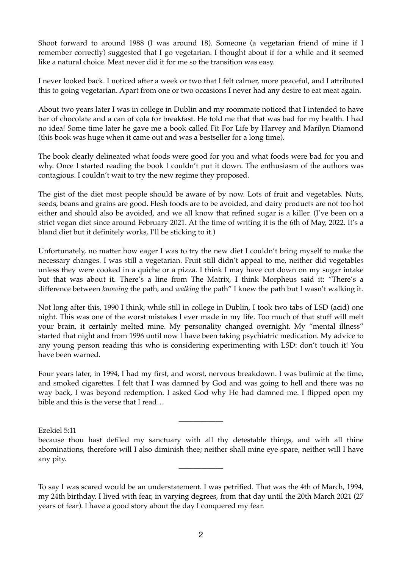Shoot forward to around 1988 (I was around 18). Someone (a vegetarian friend of mine if I remember correctly) suggested that I go vegetarian. I thought about if for a while and it seemed like a natural choice. Meat never did it for me so the transition was easy.

I never looked back. I noticed after a week or two that I felt calmer, more peaceful, and I attributed this to going vegetarian. Apart from one or two occasions I never had any desire to eat meat again.

About two years later I was in college in Dublin and my roommate noticed that I intended to have bar of chocolate and a can of cola for breakfast. He told me that that was bad for my health. I had no idea! Some time later he gave me a book called Fit For Life by Harvey and Marilyn Diamond (this book was huge when it came out and was a bestseller for a long time).

The book clearly delineated what foods were good for you and what foods were bad for you and why. Once I started reading the book I couldn't put it down. The enthusiasm of the authors was contagious. I couldn't wait to try the new regime they proposed.

The gist of the diet most people should be aware of by now. Lots of fruit and vegetables. Nuts, seeds, beans and grains are good. Flesh foods are to be avoided, and dairy products are not too hot either and should also be avoided, and we all know that refined sugar is a killer. (I've been on a strict vegan diet since around February 2021. At the time of writing it is the 6th of May, 2022. It's a bland diet but it definitely works, I'll be sticking to it.)

Unfortunately, no matter how eager I was to try the new diet I couldn't bring myself to make the necessary changes. I was still a vegetarian. Fruit still didn't appeal to me, neither did vegetables unless they were cooked in a quiche or a pizza. I think I may have cut down on my sugar intake but that was about it. There's a line from The Matrix, I think Morpheus said it: "There's a difference between *knowing* the path, and *walking* the path" I knew the path but I wasn't walking it.

Not long after this, 1990 I think, while still in college in Dublin, I took two tabs of LSD (acid) one night. This was one of the worst mistakes I ever made in my life. Too much of that stuff will melt your brain, it certainly melted mine. My personality changed overnight. My "mental illness" started that night and from 1996 until now I have been taking psychiatric medication. My advice to any young person reading this who is considering experimenting with LSD: don't touch it! You have been warned.

Four years later, in 1994, I had my first, and worst, nervous breakdown. I was bulimic at the time, and smoked cigarettes. I felt that I was damned by God and was going to hell and there was no way back, I was beyond redemption. I asked God why He had damned me. I flipped open my bible and this is the verse that I read…

Ezekiel 5:11

——————

——————

because thou hast defiled my sanctuary with all thy detestable things, and with all thine abominations, therefore will I also diminish thee; neither shall mine eye spare, neither will I have any pity.

To say I was scared would be an understatement. I was petrified. That was the 4th of March, 1994, my 24th birthday. I lived with fear, in varying degrees, from that day until the 20th March 2021 (27 years of fear). I have a good story about the day I conquered my fear.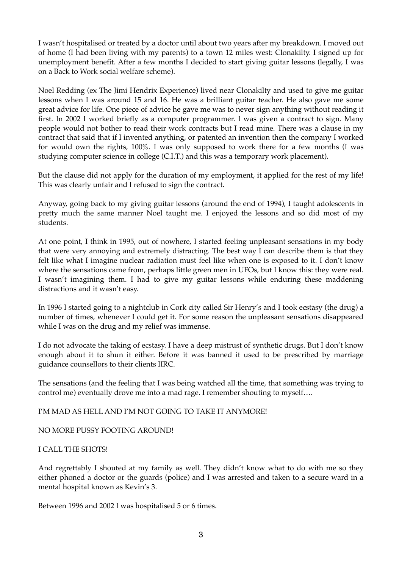I wasn't hospitalised or treated by a doctor until about two years after my breakdown. I moved out of home (I had been living with my parents) to a town 12 miles west: Clonakilty. I signed up for unemployment benefit. After a few months I decided to start giving guitar lessons (legally, I was on a Back to Work social welfare scheme).

Noel Redding (ex The Jimi Hendrix Experience) lived near Clonakilty and used to give me guitar lessons when I was around 15 and 16. He was a brilliant guitar teacher. He also gave me some great advice for life. One piece of advice he gave me was to never sign anything without reading it first. In 2002 I worked briefly as a computer programmer. I was given a contract to sign. Many people would not bother to read their work contracts but I read mine. There was a clause in my contract that said that if I invented anything, or patented an invention then the company I worked for would own the rights, 100%. I was only supposed to work there for a few months (I was studying computer science in college (C.I.T.) and this was a temporary work placement).

But the clause did not apply for the duration of my employment, it applied for the rest of my life! This was clearly unfair and I refused to sign the contract.

Anyway, going back to my giving guitar lessons (around the end of 1994), I taught adolescents in pretty much the same manner Noel taught me. I enjoyed the lessons and so did most of my students.

At one point, I think in 1995, out of nowhere, I started feeling unpleasant sensations in my body that were very annoying and extremely distracting. The best way I can describe them is that they felt like what I imagine nuclear radiation must feel like when one is exposed to it. I don't know where the sensations came from, perhaps little green men in UFOs, but I know this: they were real. I wasn't imagining them. I had to give my guitar lessons while enduring these maddening distractions and it wasn't easy.

In 1996 I started going to a nightclub in Cork city called Sir Henry's and I took ecstasy (the drug) a number of times, whenever I could get it. For some reason the unpleasant sensations disappeared while I was on the drug and my relief was immense.

I do not advocate the taking of ecstasy. I have a deep mistrust of synthetic drugs. But I don't know enough about it to shun it either. Before it was banned it used to be prescribed by marriage guidance counsellors to their clients IIRC.

The sensations (and the feeling that I was being watched all the time, that something was trying to control me) eventually drove me into a mad rage. I remember shouting to myself….

## I'M MAD AS HELL AND I'M NOT GOING TO TAKE IT ANYMORE!

NO MORE PUSSY FOOTING AROUND!

## I CALL THE SHOTS!

And regrettably I shouted at my family as well. They didn't know what to do with me so they either phoned a doctor or the guards (police) and I was arrested and taken to a secure ward in a mental hospital known as Kevin's 3.

Between 1996 and 2002 I was hospitalised 5 or 6 times.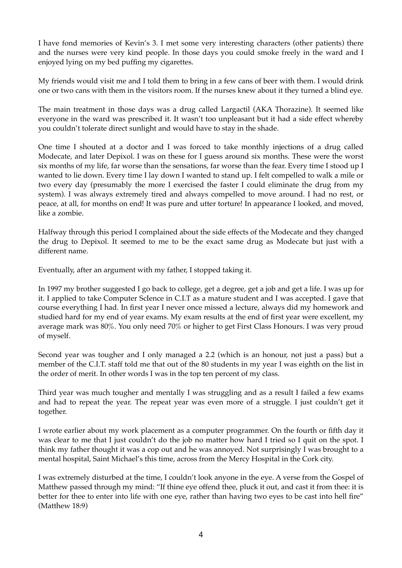I have fond memories of Kevin's 3. I met some very interesting characters (other patients) there and the nurses were very kind people. In those days you could smoke freely in the ward and I enjoyed lying on my bed puffing my cigarettes.

My friends would visit me and I told them to bring in a few cans of beer with them. I would drink one or two cans with them in the visitors room. If the nurses knew about it they turned a blind eye.

The main treatment in those days was a drug called Largactil (AKA Thorazine). It seemed like everyone in the ward was prescribed it. It wasn't too unpleasant but it had a side effect whereby you couldn't tolerate direct sunlight and would have to stay in the shade.

One time I shouted at a doctor and I was forced to take monthly injections of a drug called Modecate, and later Depixol. I was on these for I guess around six months. These were the worst six months of my life, far worse than the sensations, far worse than the fear. Every time I stood up I wanted to lie down. Every time I lay down I wanted to stand up. I felt compelled to walk a mile or two every day (presumably the more I exercised the faster I could eliminate the drug from my system). I was always extremely tired and always compelled to move around. I had no rest, or peace, at all, for months on end! It was pure and utter torture! In appearance I looked, and moved, like a zombie.

Halfway through this period I complained about the side effects of the Modecate and they changed the drug to Depixol. It seemed to me to be the exact same drug as Modecate but just with a different name.

Eventually, after an argument with my father, I stopped taking it.

In 1997 my brother suggested I go back to college, get a degree, get a job and get a life. I was up for it. I applied to take Computer ScIence in C.I.T as a mature student and I was accepted. I gave that course everything I had. In first year I never once missed a lecture, always did my homework and studied hard for my end of year exams. My exam results at the end of first year were excellent, my average mark was 80%. You only need 70% or higher to get First Class Honours. I was very proud of myself.

Second year was tougher and I only managed a 2.2 (which is an honour, not just a pass) but a member of the C.I.T. staff told me that out of the 80 students in my year I was eighth on the list in the order of merit. In other words I was in the top ten percent of my class.

Third year was much tougher and mentally I was struggling and as a result I failed a few exams and had to repeat the year. The repeat year was even more of a struggle. I just couldn't get it together.

I wrote earlier about my work placement as a computer programmer. On the fourth or fifth day it was clear to me that I just couldn't do the job no matter how hard I tried so I quit on the spot. I think my father thought it was a cop out and he was annoyed. Not surprisingly I was brought to a mental hospital, Saint Michael's this time, across from the Mercy Hospital in the Cork city.

I was extremely disturbed at the time, I couldn't look anyone in the eye. A verse from the Gospel of Matthew passed through my mind: "If thine eye offend thee, pluck it out, and cast it from thee: it is better for thee to enter into life with one eye, rather than having two eyes to be cast into hell fire" (Matthew 18:9)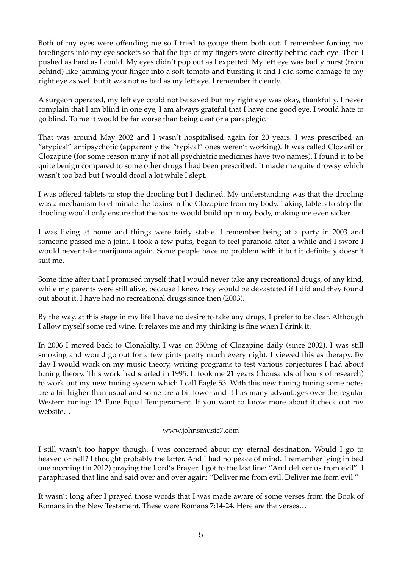Both of my eyes were offending me so I tried to gouge them both out. I remember forcing my forefingers into my eye sockets so that the tips of my fingers were directly behind each eye. Then I pushed as hard as I could. My eyes didn't pop out as I expected. My left eye was badly burst (from behind) like jamming your finger into a soft tomato and bursting it and I did some damage to my right eye as well but it was not as bad as my left eye. I remember it clearly.

A surgeon operated, my left eye could not be saved but my right eye was okay, thankfully. I never complain that I am blind in one eye, I am always grateful that I have one good eye. I would hate to go blind. To me it would be far worse than being deaf or a paraplegic.

That was around May 2002 and I wasn't hospitalised again for 20 years. I was prescribed an "atypical" antipsychotic (apparently the "typical" ones weren't working). It was called Clozaril or Clozapine (for some reason many if not all psychiatric medicines have two names). I found it to be quite benign compared to some other drugs I had been prescribed. It made me quite drowsy which wasn't too bad but I would drool a lot while I slept.

I was offered tablets to stop the drooling but I declined. My understanding was that the drooling was a mechanism to eliminate the toxins in the Clozapine from my body. Taking tablets to stop the drooling would only ensure that the toxins would build up in my body, making me even sicker.

I was living at home and things were fairly stable. I remember being at a party in 2003 and someone passed me a joint. I took a few puffs, began to feel paranoid after a while and I swore I would never take marijuana again. Some people have no problem with it but it definitely doesn't suit me.

Some time after that I promised myself that I would never take any recreational drugs, of any kind, while my parents were still alive, because I knew they would be devastated if I did and they found out about it. I have had no recreational drugs since then (2003).

By the way, at this stage in my life I have no desire to take any drugs, I prefer to be clear. Although I allow myself some red wine. It relaxes me and my thinking is fine when I drink it.

In 2006 I moved back to Clonakilty. I was on 350mg of Clozapine daily (since 2002). I was still smoking and would go out for a few pints pretty much every night. I viewed this as therapy. By day I would work on my music theory, writing programs to test various conjectures I had about tuning theory. This work had started in 1995. It took me 21 years (thousands of hours of research) to work out my new tuning system which I call Eagle 53. With this new tuning tuning some notes are a bit higher than usual and some are a bit lower and it has many advantages over the regular Western tuning: 12 Tone Equal Temperament. If you want to know more about it check out my website…

## [www.johnsmusic7.com](http://www.johnsmusic7.com)

I still wasn't too happy though. I was concerned about my eternal destination. Would I go to heaven or hell? I thought probably the latter. And I had no peace of mind. I remember lying in bed one morning (in 2012) praying the Lord's Prayer. I got to the last line: "And deliver us from evil". I paraphrased that line and said over and over again: "Deliver me from evil. Deliver me from evil."

It wasn't long after I prayed those words that I was made aware of some verses from the Book of Romans in the New Testament. These were Romans 7:14-24. Here are the verses…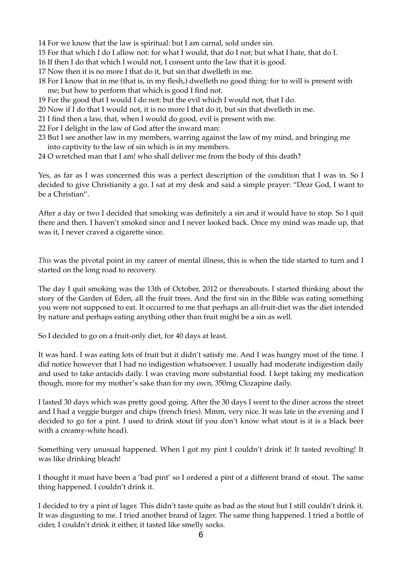- 14 For we know that the law is spiritual: but I am carnal, sold under sin.
- 15 For that which I do I allow not: for what I would, that do I not; but what I hate, that do I.
- 16 If then I do that which I would not, I consent unto the law that it is good.
- 17 Now then it is no more I that do it, but sin that dwelleth in me.
- 18 For I know that in me (that is, in my flesh,) dwelleth no good thing: for to will is present with me; but how to perform that which is good I find not.
- 19 For the good that I would I do not: but the evil which I would not, that I do.
- 20 Now if I do that I would not, it is no more I that do it, but sin that dwelleth in me.
- 21 I find then a law, that, when I would do good, evil is present with me.
- 22 For I delight in the law of God after the inward man:
- 23 But I see another law in my members, warring against the law of my mind, and bringing me into captivity to the law of sin which is in my members.
- 24 O wretched man that I am! who shall deliver me from the body of this death?

Yes, as far as I was concerned this was a perfect description of the condition that I was in. So I decided to give Christianity a go. I sat at my desk and said a simple prayer: "Dear God, I want to be a Christian".

After a day or two I decided that smoking was definitely a sin and it would have to stop. So I quit there and then. I haven't smoked since and I never looked back. Once my mind was made up, that was it, I never craved a cigarette since.

*This* was the pivotal point in my career of mental illness, this is when the tide started to turn and I started on the long road to recovery.

The day I quit smoking was the 13th of October, 2012 or thereabouts. I started thinking about the story of the Garden of Eden, all the fruit trees. And the first sin in the Bible was eating something you were not supposed to eat. It occurred to me that perhaps an all-fruit-diet was the diet intended by nature and perhaps eating anything other than fruit might be a sin as well.

So I decided to go on a fruit-only diet, for 40 days at least.

It was hard. I was eating lots of fruit but it didn't satisfy me. And I was hungry most of the time. I did notice however that I had no indigestion whatsoever. I usually had moderate indigestion daily and used to take antacids daily. I was craving more substantial food. I kept taking my medication though, more for my mother's sake than for my own, 350mg Clozapine daily.

I lasted 30 days which was pretty good going. After the 30 days I went to the diner across the street and I had a veggie burger and chips (french fries). Mmm, very nice. It was late in the evening and I decided to go for a pint. I used to drink stout (if you don't know what stout is it is a black beer with a creamy-white head).

Something very unusual happened. When I got my pint I couldn't drink it! It tasted revolting! It was like drinking bleach!

I thought it must have been a 'bad pint' so I ordered a pint of a different brand of stout. The same thing happened. I couldn't drink it.

I decided to try a pint of lager. This didn't taste quite as bad as the stout but I still couldn't drink it. It was disgusting to me. I tried another brand of lager. The same thing happened. I tried a bottle of cider, I couldn't drink it either, it tasted like smelly socks.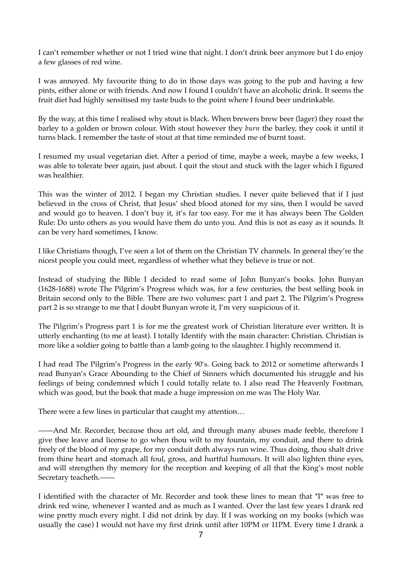I can't remember whether or not I tried wine that night. I don't drink beer anymore but I do enjoy a few glasses of red wine.

I was annoyed. My favourite thing to do in those days was going to the pub and having a few pints, either alone or with friends. And now I found I couldn't have an alcoholic drink. It seems the fruit diet had highly sensitised my taste buds to the point where I found beer undrinkable.

By the way, at this time I realised why stout is black. When brewers brew beer (lager) they roast the barley to a golden or brown colour. With stout however they *burn* the barley, they cook it until it turns black. I remember the taste of stout at that time reminded me of burnt toast.

I resumed my usual vegetarian diet. After a period of time, maybe a week, maybe a few weeks, I was able to tolerate beer again, just about. I quit the stout and stuck with the lager which I figured was healthier.

This was the winter of 2012. I began my Christian studies. I never quite believed that if I just believed in the cross of Christ, that Jesus' shed blood atoned for my sins, then I would be saved and would go to heaven. I don't buy it, it's far too easy. For me it has always been The Golden Rule: Do unto others as you would have them do unto you. And this is not as easy as it sounds. It can be very hard sometimes, I know.

I like Christians though, I've seen a lot of them on the Christian TV channels. In general they're the nicest people you could meet, regardless of whether what they believe is true or not.

Instead of studying the Bible I decided to read some of John Bunyan's books. John Bunyan (1628-1688) wrote The Pilgrim's Progress which was, for a few centuries, the best selling book in Britain second only to the Bible. There are two volumes: part 1 and part 2. The Pilgrim's Progress part 2 is so strange to me that I doubt Bunyan wrote it, I'm very suspicious of it.

The Pilgrim's Progress part 1 is for me the greatest work of Christian literature ever written. It is utterly enchanting (to me at least). I totally Identify with the main character: Christian. Christian is more like a soldier going to battle than a lamb going to the slaughter. I highly recommend it.

I had read The Pilgrim's Progress in the early 90's. Going back to 2012 or sometime afterwards I read Bunyan's Grace Abounding to the Chief of Sinners which documented his struggle and his feelings of being condemned which I could totally relate to. I also read The Heavenly Footman, which was good, but the book that made a huge impression on me was The Holy War.

There were a few lines in particular that caught my attention…

——And Mr. Recorder, because thou art old, and through many abuses made feeble, therefore I give thee leave and license to go when thou wilt to my fountain, my conduit, and there to drink freely of the blood of my grape, for my conduit doth always run wine. Thus doing, thou shalt drive from thine heart and stomach all foul, gross, and hurtful humours. It will also lighten thine eyes, and will strengthen thy memory for the reception and keeping of all that the King's most noble Secretary teacheth.-

I identified with the character of Mr. Recorder and took these lines to mean that \*I\* was free to drink red wine, whenever I wanted and as much as I wanted. Over the last few years I drank red wine pretty much every night. I did not drink by day. If I was working on my books (which was usually the case) I would not have my first drink until after 10PM or 11PM. Every time I drank a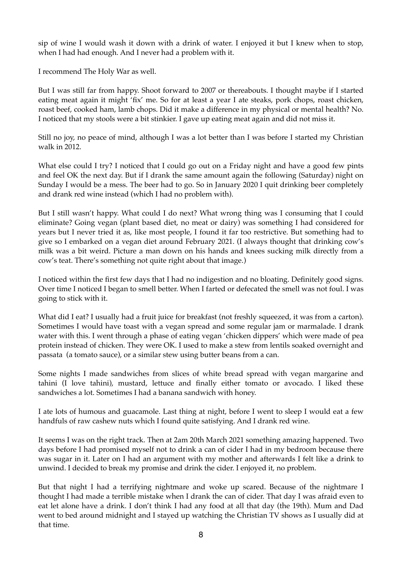sip of wine I would wash it down with a drink of water. I enjoyed it but I knew when to stop, when I had had enough. And I never had a problem with it.

I recommend The Holy War as well.

But I was still far from happy. Shoot forward to 2007 or thereabouts. I thought maybe if I started eating meat again it might 'fix' me. So for at least a year I ate steaks, pork chops, roast chicken, roast beef, cooked ham, lamb chops. Did it make a difference in my physical or mental health? No. I noticed that my stools were a bit stinkier. I gave up eating meat again and did not miss it.

Still no joy, no peace of mind, although I was a lot better than I was before I started my Christian walk in 2012.

What else could I try? I noticed that I could go out on a Friday night and have a good few pints and feel OK the next day. But if I drank the same amount again the following (Saturday) night on Sunday I would be a mess. The beer had to go. So in January 2020 I quit drinking beer completely and drank red wine instead (which I had no problem with).

But I still wasn't happy. What could I do next? What wrong thing was I consuming that I could eliminate? Going vegan (plant based diet, no meat or dairy) was something I had considered for years but I never tried it as, like most people, I found it far too restrictive. But something had to give so I embarked on a vegan diet around February 2021. (I always thought that drinking cow's milk was a bit weird. Picture a man down on his hands and knees sucking milk directly from a cow's teat. There's something not quite right about that image.)

I noticed within the first few days that I had no indigestion and no bloating. Definitely good signs. Over time I noticed I began to smell better. When I farted or defecated the smell was not foul. I was going to stick with it.

What did I eat? I usually had a fruit juice for breakfast (not freshly squeezed, it was from a carton). Sometimes I would have toast with a vegan spread and some regular jam or marmalade. I drank water with this. I went through a phase of eating vegan 'chicken dippers' which were made of pea protein instead of chicken. They were OK. I used to make a stew from lentils soaked overnight and passata (a tomato sauce), or a similar stew using butter beans from a can.

Some nights I made sandwiches from slices of white bread spread with vegan margarine and tahini (I love tahini), mustard, lettuce and finally either tomato or avocado. I liked these sandwiches a lot. Sometimes I had a banana sandwich with honey.

I ate lots of humous and guacamole. Last thing at night, before I went to sleep I would eat a few handfuls of raw cashew nuts which I found quite satisfying. And I drank red wine.

It seems I was on the right track. Then at 2am 20th March 2021 something amazing happened. Two days before I had promised myself not to drink a can of cider I had in my bedroom because there was sugar in it. Later on I had an argument with my mother and afterwards I felt like a drink to unwind. I decided to break my promise and drink the cider. I enjoyed it, no problem.

But that night I had a terrifying nightmare and woke up scared. Because of the nightmare I thought I had made a terrible mistake when I drank the can of cider. That day I was afraid even to eat let alone have a drink. I don't think I had any food at all that day (the 19th). Mum and Dad went to bed around midnight and I stayed up watching the Christian TV shows as I usually did at that time.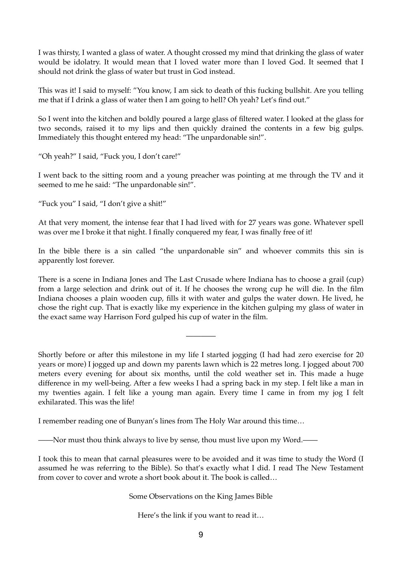I was thirsty, I wanted a glass of water. A thought crossed my mind that drinking the glass of water would be idolatry. It would mean that I loved water more than I loved God. It seemed that I should not drink the glass of water but trust in God instead.

This was it! I said to myself: "You know, I am sick to death of this fucking bullshit. Are you telling me that if I drink a glass of water then I am going to hell? Oh yeah? Let's find out."

So I went into the kitchen and boldly poured a large glass of filtered water. I looked at the glass for two seconds, raised it to my lips and then quickly drained the contents in a few big gulps. Immediately this thought entered my head: "The unpardonable sin!".

"Oh yeah?" I said, "Fuck you, I don't care!"

I went back to the sitting room and a young preacher was pointing at me through the TV and it seemed to me he said: "The unpardonable sin!".

"Fuck you" I said, "I don't give a shit!"

At that very moment, the intense fear that I had lived with for 27 years was gone. Whatever spell was over me I broke it that night. I finally conquered my fear, I was finally free of it!

In the bible there is a sin called "the unpardonable sin" and whoever commits this sin is apparently lost forever.

There is a scene in Indiana Jones and The Last Crusade where Indiana has to choose a grail (cup) from a large selection and drink out of it. If he chooses the wrong cup he will die. In the film Indiana chooses a plain wooden cup, fills it with water and gulps the water down. He lived, he chose the right cup. That is exactly like my experience in the kitchen gulping my glass of water in the exact same way Harrison Ford gulped his cup of water in the film.

————

Shortly before or after this milestone in my life I started jogging (I had had zero exercise for 20 years or more) I jogged up and down my parents lawn which is 22 metres long. I jogged about 700 meters every evening for about six months, until the cold weather set in. This made a huge difference in my well-being. After a few weeks I had a spring back in my step. I felt like a man in my twenties again. I felt like a young man again. Every time I came in from my jog I felt exhilarated. This was the life!

I remember reading one of Bunyan's lines from The Holy War around this time…

——Nor must thou think always to live by sense, thou must live upon my Word.——

I took this to mean that carnal pleasures were to be avoided and it was time to study the Word (I assumed he was referring to the Bible). So that's exactly what I did. I read The New Testament from cover to cover and wrote a short book about it. The book is called

Some Observations on the King James Bible

Here's the link if you want to read it…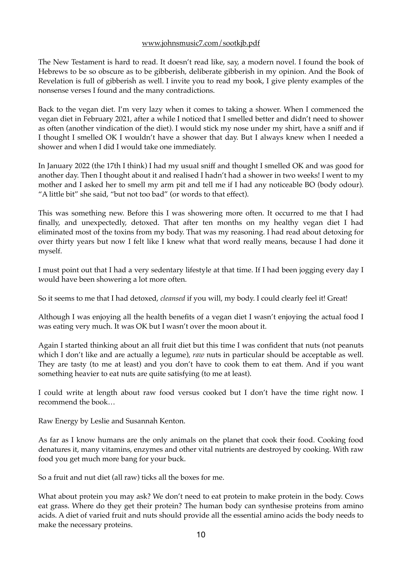## [www.johnsmusic7.com/sootkjb.pdf](http://www.johnsmusic7.com/sootkjb.pdf)

The New Testament is hard to read. It doesn't read like, say, a modern novel. I found the book of Hebrews to be so obscure as to be gibberish, deliberate gibberish in my opinion. And the Book of Revelation is full of gibberish as well. I invite you to read my book, I give plenty examples of the nonsense verses I found and the many contradictions.

Back to the vegan diet. I'm very lazy when it comes to taking a shower. When I commenced the vegan diet in February 2021, after a while I noticed that I smelled better and didn't need to shower as often (another vindication of the diet). I would stick my nose under my shirt, have a sniff and if I thought I smelled OK I wouldn't have a shower that day. But I always knew when I needed a shower and when I did I would take one immediately.

In January 2022 (the 17th I think) I had my usual sniff and thought I smelled OK and was good for another day. Then I thought about it and realised I hadn't had a shower in two weeks! I went to my mother and I asked her to smell my arm pit and tell me if I had any noticeable BO (body odour). "A little bit" she said, "but not too bad" (or words to that effect).

This was something new. Before this I was showering more often. It occurred to me that I had finally, and unexpectedly, detoxed. That after ten months on my healthy vegan diet I had eliminated most of the toxins from my body. That was my reasoning. I had read about detoxing for over thirty years but now I felt like I knew what that word really means, because I had done it myself.

I must point out that I had a very sedentary lifestyle at that time. If I had been jogging every day I would have been showering a lot more often.

So it seems to me that I had detoxed, *cleansed* if you will, my body. I could clearly feel it! Great!

Although I was enjoying all the health benefits of a vegan diet I wasn't enjoying the actual food I was eating very much. It was OK but I wasn't over the moon about it.

Again I started thinking about an all fruit diet but this time I was confident that nuts (not peanuts which I don't like and are actually a legume), *raw* nuts in particular should be acceptable as well. They are tasty (to me at least) and you don't have to cook them to eat them. And if you want something heavier to eat nuts are quite satisfying (to me at least).

I could write at length about raw food versus cooked but I don't have the time right now. I recommend the book…

Raw Energy by Leslie and Susannah Kenton.

As far as I know humans are the only animals on the planet that cook their food. Cooking food denatures it, many vitamins, enzymes and other vital nutrients are destroyed by cooking. With raw food you get much more bang for your buck.

So a fruit and nut diet (all raw) ticks all the boxes for me.

What about protein you may ask? We don't need to eat protein to make protein in the body. Cows eat grass. Where do they get their protein? The human body can synthesise proteins from amino acids. A diet of varied fruit and nuts should provide all the essential amino acids the body needs to make the necessary proteins.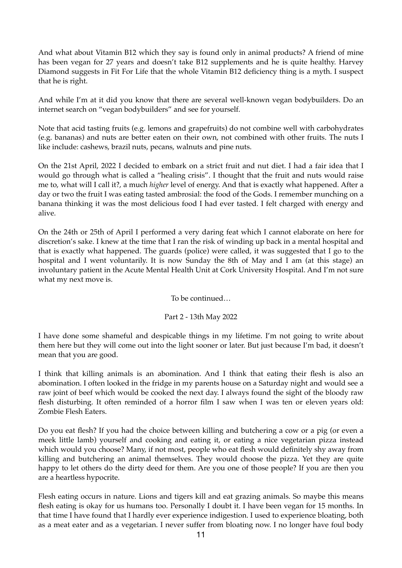And what about Vitamin B12 which they say is found only in animal products? A friend of mine has been vegan for 27 years and doesn't take B12 supplements and he is quite healthy. Harvey Diamond suggests in Fit For Life that the whole Vitamin B12 deficiency thing is a myth. I suspect that he is right.

And while I'm at it did you know that there are several well-known vegan bodybuilders. Do an internet search on "vegan bodybuilders" and see for yourself.

Note that acid tasting fruits (e.g. lemons and grapefruits) do not combine well with carbohydrates (e.g. bananas) and nuts are better eaten on their own, not combined with other fruits. The nuts I like include: cashews, brazil nuts, pecans, walnuts and pine nuts.

On the 21st April, 2022 I decided to embark on a strict fruit and nut diet. I had a fair idea that I would go through what is called a "healing crisis". I thought that the fruit and nuts would raise me to, what will I call it?, a much *higher* level of energy. And that is exactly what happened. After a day or two the fruit I was eating tasted ambrosial: the food of the Gods. I remember munching on a banana thinking it was the most delicious food I had ever tasted. I felt charged with energy and alive.

On the 24th or 25th of April I performed a very daring feat which I cannot elaborate on here for discretion's sake. I knew at the time that I ran the risk of winding up back in a mental hospital and that is exactly what happened. The guards (police) were called, it was suggested that I go to the hospital and I went voluntarily. It is now Sunday the 8th of May and I am (at this stage) an involuntary patient in the Acute Mental Health Unit at Cork University Hospital. And I'm not sure what my next move is.

To be continued…

## Part 2 - 13th May 2022

I have done some shameful and despicable things in my lifetime. I'm not going to write about them here but they will come out into the light sooner or later. But just because I'm bad, it doesn't mean that you are good.

I think that killing animals is an abomination. And I think that eating their flesh is also an abomination. I often looked in the fridge in my parents house on a Saturday night and would see a raw joint of beef which would be cooked the next day. I always found the sight of the bloody raw flesh disturbing. It often reminded of a horror film I saw when I was ten or eleven years old: Zombie Flesh Eaters.

Do you eat flesh? If you had the choice between killing and butchering a cow or a pig (or even a meek little lamb) yourself and cooking and eating it, or eating a nice vegetarian pizza instead which would you choose? Many, if not most, people who eat flesh would definitely shy away from killing and butchering an animal themselves. They would choose the pizza. Yet they are quite happy to let others do the dirty deed for them. Are you one of those people? If you are then you are a heartless hypocrite.

Flesh eating occurs in nature. Lions and tigers kill and eat grazing animals. So maybe this means flesh eating is okay for us humans too. Personally I doubt it. I have been vegan for 15 months. In that time I have found that I hardly ever experience indigestion. I used to experience bloating, both as a meat eater and as a vegetarian. I never suffer from bloating now. I no longer have foul body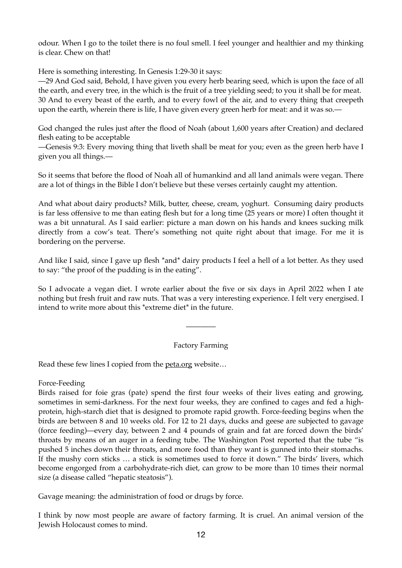odour. When I go to the toilet there is no foul smell. I feel younger and healthier and my thinking is clear. Chew on that!

Here is something interesting. In Genesis 1:29-30 it says:

—29 And God said, Behold, I have given you every herb bearing seed, which is upon the face of all the earth, and every tree, in the which is the fruit of a tree yielding seed; to you it shall be for meat. 30 And to every beast of the earth, and to every fowl of the air, and to every thing that creepeth upon the earth, wherein there is life, I have given every green herb for meat: and it was so.—

God changed the rules just after the flood of Noah (about 1,600 years after Creation) and declared flesh eating to be acceptable

—Genesis 9:3: Every moving thing that liveth shall be meat for you; even as the green herb have I given you all things.—

So it seems that before the flood of Noah all of humankind and all land animals were vegan. There are a lot of things in the Bible I don't believe but these verses certainly caught my attention.

And what about dairy products? Milk, butter, cheese, cream, yoghurt. Consuming dairy products is far less offensive to me than eating flesh but for a long time (25 years or more) I often thought it was a bit unnatural. As I said earlier: picture a man down on his hands and knees sucking milk directly from a cow's teat. There's something not quite right about that image. For me it is bordering on the perverse.

And like I said, since I gave up flesh \*and\* dairy products I feel a hell of a lot better. As they used to say: "the proof of the pudding is in the eating".

So I advocate a vegan diet. I wrote earlier about the five or six days in April 2022 when I ate nothing but fresh fruit and raw nuts. That was a very interesting experience. I felt very energised. I intend to write more about this \*extreme diet\* in the future.

## Factory Farming

————

Read these few lines I copied from the [peta.org](http://peta.org) website…

Force-Feeding

Birds raised for foie gras (pate) spend the first four weeks of their lives eating and growing, sometimes in semi-darkness. For the next four weeks, they are confined to cages and fed a highprotein, high-starch diet that is designed to promote rapid growth. Force-feeding begins when the birds are between 8 and 10 weeks old. For 12 to 21 days, ducks and geese are subjected to gavage (force feeding)—every day, between 2 and 4 pounds of grain and fat are forced down the birds' throats by means of an auger in a feeding tube. The Washington Post reported that the tube "is pushed 5 inches down their throats, and more food than they want is gunned into their stomachs. If the mushy corn sticks … a stick is sometimes used to force it down." The birds' livers, which become engorged from a carbohydrate-rich diet, can grow to be more than 10 times their normal size (a disease called "hepatic steatosis").

Gavage meaning: the administration of food or drugs by force.

I think by now most people are aware of factory farming. It is cruel. An animal version of the Jewish Holocaust comes to mind.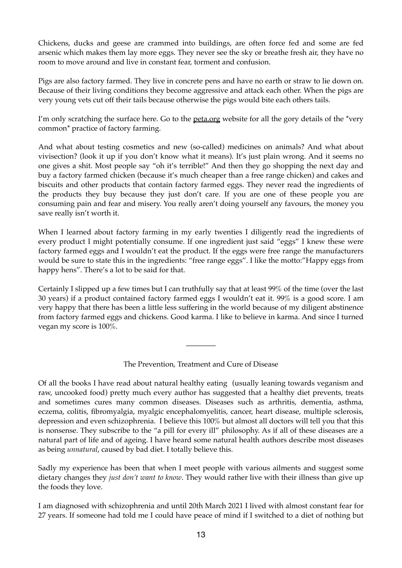Chickens, ducks and geese are crammed into buildings, are often force fed and some are fed arsenic which makes them lay more eggs. They never see the sky or breathe fresh air, they have no room to move around and live in constant fear, torment and confusion.

Pigs are also factory farmed. They live in concrete pens and have no earth or straw to lie down on. Because of their living conditions they become aggressive and attack each other. When the pigs are very young vets cut off their tails because otherwise the pigs would bite each others tails.

I'm only scratching the surface here. Go to the [peta.org](http://peta.org) website for all the gory details of the \*very common\* practice of factory farming.

And what about testing cosmetics and new (so-called) medicines on animals? And what about vivisection? (look it up if you don't know what it means). It's just plain wrong. And it seems no one gives a shit. Most people say "oh it's terrible!" And then they go shopping the next day and buy a factory farmed chicken (because it's much cheaper than a free range chicken) and cakes and biscuits and other products that contain factory farmed eggs. They never read the ingredients of the products they buy because they just don't care. If you are one of these people you are consuming pain and fear and misery. You really aren't doing yourself any favours, the money you save really isn't worth it.

When I learned about factory farming in my early twenties I diligently read the ingredients of every product I might potentially consume. If one ingredient just said "eggs" I knew these were factory farmed eggs and I wouldn't eat the product. If the eggs were free range the manufacturers would be sure to state this in the ingredients: "free range eggs". I like the motto:"Happy eggs from happy hens". There's a lot to be said for that.

Certainly I slipped up a few times but I can truthfully say that at least 99% of the time (over the last 30 years) if a product contained factory farmed eggs I wouldn't eat it. 99% is a good score. I am very happy that there has been a little less suffering in the world because of my diligent abstinence from factory farmed eggs and chickens. Good karma. I like to believe in karma. And since I turned vegan my score is 100%.

The Prevention, Treatment and Cure of Disease

————

Of all the books I have read about natural healthy eating (usually leaning towards veganism and raw, uncooked food) pretty much every author has suggested that a healthy diet prevents, treats and sometimes cures many common diseases. Diseases such as arthritis, dementia, asthma, eczema, colitis, fibromyalgia, myalgic encephalomyelitis, cancer, heart disease, multiple sclerosis, depression and even schizophrenia. I believe this 100% but almost all doctors will tell you that this is nonsense. They subscribe to the "a pill for every ill" philosophy. As if all of these diseases are a natural part of life and of ageing. I have heard some natural health authors describe most diseases as being *unnatural*, caused by bad diet. I totally believe this.

Sadly my experience has been that when I meet people with various ailments and suggest some dietary changes they *just don't want to know*. They would rather live with their illness than give up the foods they love.

I am diagnosed with schizophrenia and until 20th March 2021 I lived with almost constant fear for 27 years. If someone had told me I could have peace of mind if I switched to a diet of nothing but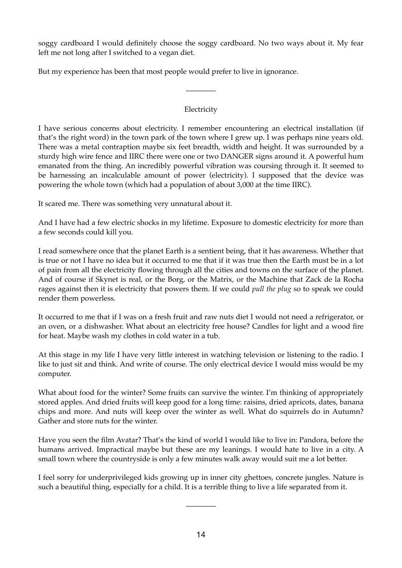soggy cardboard I would definitely choose the soggy cardboard. No two ways about it. My fear left me not long after I switched to a vegan diet.

But my experience has been that most people would prefer to live in ignorance.

## Electricity

————

I have serious concerns about electricity. I remember encountering an electrical installation (if that's the right word) in the town park of the town where I grew up. I was perhaps nine years old. There was a metal contraption maybe six feet breadth, width and height. It was surrounded by a sturdy high wire fence and IIRC there were one or two DANGER signs around it. A powerful hum emanated from the thing. An incredibly powerful vibration was coursing through it. It seemed to be harnessing an incalculable amount of power (electricity). I supposed that the device was powering the whole town (which had a population of about 3,000 at the time IIRC).

It scared me. There was something very unnatural about it.

And I have had a few electric shocks in my lifetime. Exposure to domestic electricity for more than a few seconds could kill you.

I read somewhere once that the planet Earth is a sentient being, that it has awareness. Whether that is true or not I have no idea but it occurred to me that if it was true then the Earth must be in a lot of pain from all the electricity flowing through all the cities and towns on the surface of the planet. And of course if Skynet is real, or the Borg, or the Matrix, or the Machine that Zack de la Rocha rages against then it is electricity that powers them. If we could *pull the plug* so to speak we could render them powerless.

It occurred to me that if I was on a fresh fruit and raw nuts diet I would not need a refrigerator, or an oven, or a dishwasher. What about an electricity free house? Candles for light and a wood fire for heat. Maybe wash my clothes in cold water in a tub.

At this stage in my life I have very little interest in watching television or listening to the radio. I like to just sit and think. And write of course. The only electrical device I would miss would be my computer.

What about food for the winter? Some fruits can survive the winter. I'm thinking of appropriately stored apples. And dried fruits will keep good for a long time: raisins, dried apricots, dates, banana chips and more. And nuts will keep over the winter as well. What do squirrels do in Autumn? Gather and store nuts for the winter.

Have you seen the film Avatar? That's the kind of world I would like to live in: Pandora, before the humans arrived. Impractical maybe but these are my leanings. I would hate to live in a city. A small town where the countryside is only a few minutes walk away would suit me a lot better.

I feel sorry for underprivileged kids growing up in inner city ghettoes, concrete jungles. Nature is such a beautiful thing, especially for a child. It is a terrible thing to live a life separated from it.

————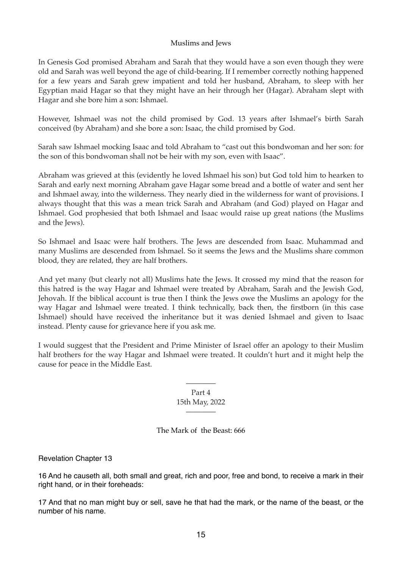## Muslims and Jews

In Genesis God promised Abraham and Sarah that they would have a son even though they were old and Sarah was well beyond the age of child-bearing. If I remember correctly nothing happened for a few years and Sarah grew impatient and told her husband, Abraham, to sleep with her Egyptian maid Hagar so that they might have an heir through her (Hagar). Abraham slept with Hagar and she bore him a son: Ishmael.

However, Ishmael was not the child promised by God. 13 years after Ishmael's birth Sarah conceived (by Abraham) and she bore a son: Isaac, the child promised by God.

Sarah saw Ishmael mocking Isaac and told Abraham to "cast out this bondwoman and her son: for the son of this bondwoman shall not be heir with my son, even with Isaac".

Abraham was grieved at this (evidently he loved Ishmael his son) but God told him to hearken to Sarah and early next morning Abraham gave Hagar some bread and a bottle of water and sent her and Ishmael away, into the wilderness. They nearly died in the wilderness for want of provisions. I always thought that this was a mean trick Sarah and Abraham (and God) played on Hagar and Ishmael. God prophesied that both Ishmael and Isaac would raise up great nations (the Muslims and the Jews).

So Ishmael and Isaac were half brothers. The Jews are descended from Isaac. Muhammad and many Muslims are descended from Ishmael. So it seems the Jews and the Muslims share common blood, they are related, they are half brothers.

And yet many (but clearly not all) Muslims hate the Jews. It crossed my mind that the reason for this hatred is the way Hagar and Ishmael were treated by Abraham, Sarah and the Jewish God, Jehovah. If the biblical account is true then I think the Jews owe the Muslims an apology for the way Hagar and Ishmael were treated. I think technically, back then, the firstborn (in this case Ishmael) should have received the inheritance but it was denied Ishmael and given to Isaac instead. Plenty cause for grievance here if you ask me.

I would suggest that the President and Prime Minister of Israel offer an apology to their Muslim half brothers for the way Hagar and Ishmael were treated. It couldn't hurt and it might help the cause for peace in the Middle East.

> ———— Part 4 15th May, 2022

> > ————

The Mark of the Beast: 666

Revelation Chapter 13

16 And he causeth all, both small and great, rich and poor, free and bond, to receive a mark in their right hand, or in their foreheads:

17 And that no man might buy or sell, save he that had the mark, or the name of the beast, or the number of his name.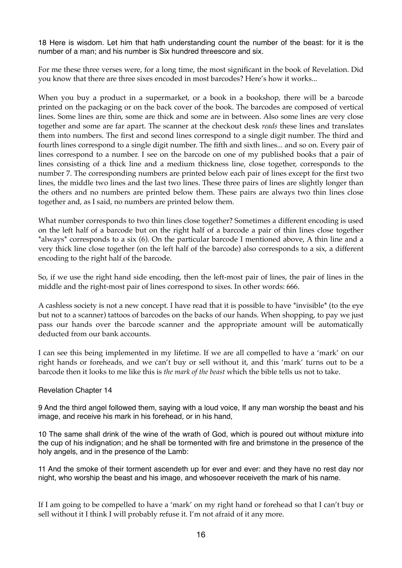18 Here is wisdom. Let him that hath understanding count the number of the beast: for it is the number of a man; and his number is Six hundred threescore and six.

For me these three verses were, for a long time, the most significant in the book of Revelation. Did you know that there are three sixes encoded in most barcodes? Here's how it works...

When you buy a product in a supermarket, or a book in a bookshop, there will be a barcode printed on the packaging or on the back cover of the book. The barcodes are composed of vertical lines. Some lines are thin, some are thick and some are in between. Also some lines are very close together and some are far apart. The scanner at the checkout desk *reads* these lines and translates them into numbers. The first and second lines correspond to a single digit number. The third and fourth lines correspond to a single digit number. The fifth and sixth lines... and so on. Every pair of lines correspond to a number. I see on the barcode on one of my published books that a pair of lines consisting of a thick line and a medium thickness line, close together, corresponds to the number 7. The corresponding numbers are printed below each pair of lines except for the first two lines, the middle two lines and the last two lines. These three pairs of lines are slightly longer than the others and no numbers are printed below them. These pairs are always two thin lines close together and, as I said, no numbers are printed below them.

What number corresponds to two thin lines close together? Sometimes a different encoding is used on the left half of a barcode but on the right half of a barcode a pair of thin lines close together \*always\* corresponds to a six (6). On the particular barcode I mentioned above, A thin line and a very thick line close together (on the left half of the barcode) also corresponds to a six, a different encoding to the right half of the barcode.

So, if we use the right hand side encoding, then the left-most pair of lines, the pair of lines in the middle and the right-most pair of lines correspond to sixes. In other words: 666.

A cashless society is not a new concept. I have read that it is possible to have \*invisible\* (to the eye but not to a scanner) tattoos of barcodes on the backs of our hands. When shopping, to pay we just pass our hands over the barcode scanner and the appropriate amount will be automatically deducted from our bank accounts.

I can see this being implemented in my lifetime. If we are all compelled to have a 'mark' on our right hands or foreheads, and we can't buy or sell without it, and this 'mark' turns out to be a barcode then it looks to me like this is *the mark of the beast* which the bible tells us not to take.

## Revelation Chapter 14

9 And the third angel followed them, saying with a loud voice, If any man worship the beast and his image, and receive his mark in his forehead, or in his hand,

10 The same shall drink of the wine of the wrath of God, which is poured out without mixture into the cup of his indignation; and he shall be tormented with fire and brimstone in the presence of the holy angels, and in the presence of the Lamb:

11 And the smoke of their torment ascendeth up for ever and ever: and they have no rest day nor night, who worship the beast and his image, and whosoever receiveth the mark of his name.

If I am going to be compelled to have a 'mark' on my right hand or forehead so that I can't buy or sell without it I think I will probably refuse it. I'm not afraid of it any more.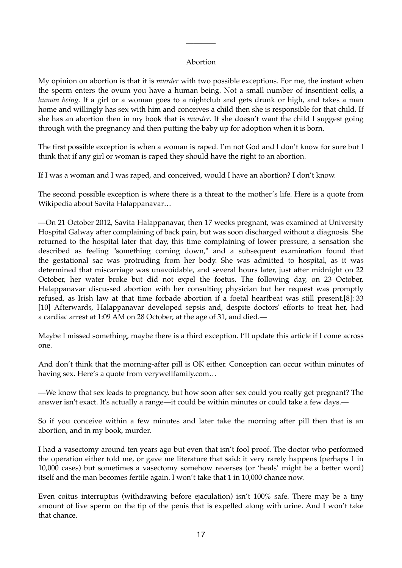## Abortion

————

My opinion on abortion is that it is *murder* with two possible exceptions. For me, the instant when the sperm enters the ovum you have a human being. Not a small number of insentient cells, a *human being*. If a girl or a woman goes to a nightclub and gets drunk or high, and takes a man home and willingly has sex with him and conceives a child then she is responsible for that child. If she has an abortion then in my book that is *murder*. If she doesn't want the child I suggest going through with the pregnancy and then putting the baby up for adoption when it is born.

The first possible exception is when a woman is raped. I'm not God and I don't know for sure but I think that if any girl or woman is raped they should have the right to an abortion.

If I was a woman and I was raped, and conceived, would I have an abortion? I don't know.

The second possible exception is where there is a threat to the mother's life. Here is a quote from Wikipedia about Savita Halappanavar…

—On 21 October 2012, Savita Halappanavar, then 17 weeks pregnant, was examined at University Hospital Galway after complaining of back pain, but was soon discharged without a diagnosis. She returned to the hospital later that day, this time complaining of lower pressure, a sensation she described as feeling "something coming down," and a subsequent examination found that the gestational sac was protruding from her body. She was admitted to hospital, as it was determined that miscarriage was unavoidable, and several hours later, just after midnight on 22 October, her water broke but did not expel the foetus. The following day, on 23 October, Halappanavar discussed abortion with her consulting physician but her request was promptly refused, as Irish law at that time forbade abortion if a foetal heartbeat was still present.[8]: 33 [10] Afterwards, Halappanavar developed sepsis and, despite doctors' efforts to treat her, had a cardiac arrest at 1:09 AM on 28 October, at the age of 31, and died.—

Maybe I missed something, maybe there is a third exception. I'll update this article if I come across one.

And don't think that the morning-after pill is OK either. Conception can occur within minutes of having sex. Here's a quote from verywellfamily.com…

—We know that sex leads to pregnancy, but how soon after sex could you really get pregnant? The answer isn't exact. It's actually a range—it could be within minutes or could take a few days.—

So if you conceive within a few minutes and later take the morning after pill then that is an abortion, and in my book, murder.

I had a vasectomy around ten years ago but even that isn't fool proof. The doctor who performed the operation either told me, or gave me literature that said: it very rarely happens (perhaps 1 in 10,000 cases) but sometimes a vasectomy somehow reverses (or 'heals' might be a better word) itself and the man becomes fertile again. I won't take that 1 in 10,000 chance now.

Even coitus interruptus (withdrawing before ejaculation) isn't 100% safe. There may be a tiny amount of live sperm on the tip of the penis that is expelled along with urine. And I won't take that chance.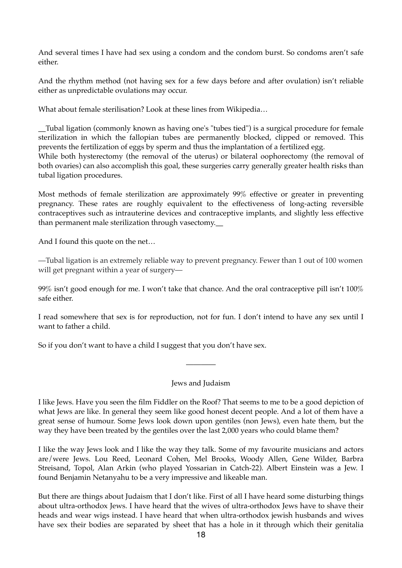And several times I have had sex using a condom and the condom burst. So condoms aren't safe either.

And the rhythm method (not having sex for a few days before and after ovulation) isn't reliable either as unpredictable ovulations may occur.

What about female sterilisation? Look at these lines from Wikipedia…

\_\_Tubal ligation (commonly known as having one's "tubes tied") is a surgical procedure for female sterilization in which the fallopian tubes are permanently blocked, clipped or removed. This prevents the fertilization of eggs by sperm and thus the implantation of a fertilized egg. While both hysterectomy (the removal of the uterus) or bilateral oophorectomy (the removal of both ovaries) can also accomplish this goal, these surgeries carry generally greater health risks than tubal ligation procedures.

Most methods of female sterilization are approximately 99% effective or greater in preventing pregnancy. These rates are roughly equivalent to the effectiveness of long-acting reversible contraceptives such as intrauterine devices and contraceptive implants, and slightly less effective than permanent male sterilization through vasectomy.\_\_

And I found this quote on the net…

—Tubal ligation is an extremely reliable way to prevent pregnancy. Fewer than 1 out of 100 women will get pregnant within a year of surgery—

99% isn't good enough for me. I won't take that chance. And the oral contraceptive pill isn't 100% safe either.

I read somewhere that sex is for reproduction, not for fun. I don't intend to have any sex until I want to father a child.

So if you don't want to have a child I suggest that you don't have sex.

Jews and Judaism

————

I like Jews. Have you seen the film Fiddler on the Roof? That seems to me to be a good depiction of what Jews are like. In general they seem like good honest decent people. And a lot of them have a great sense of humour. Some Jews look down upon gentiles (non Jews), even hate them, but the way they have been treated by the gentiles over the last 2,000 years who could blame them?

I like the way Jews look and I like the way they talk. Some of my favourite musicians and actors are/were Jews. Lou Reed, Leonard Cohen, Mel Brooks, Woody Allen, Gene Wilder, Barbra Streisand, Topol, Alan Arkin (who played Yossarian in Catch-22). Albert Einstein was a Jew. I found Benjamin Netanyahu to be a very impressive and likeable man.

But there are things about Judaism that I don't like. First of all I have heard some disturbing things about ultra-orthodox Jews. I have heard that the wives of ultra-orthodox Jews have to shave their heads and wear wigs instead. I have heard that when ultra-orthodox jewish husbands and wives have sex their bodies are separated by sheet that has a hole in it through which their genitalia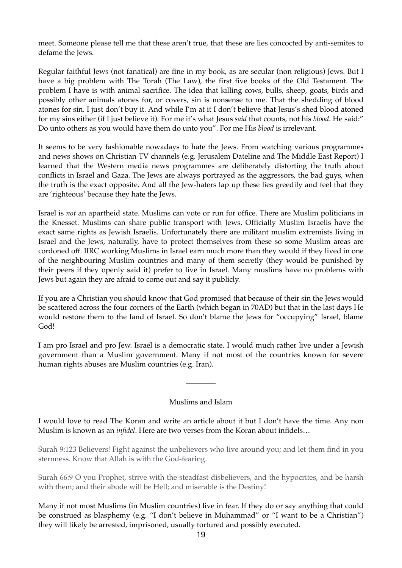meet. Someone please tell me that these aren't true, that these are lies concocted by anti-semites to defame the Jews.

Regular faithful Jews (not fanatical) are fine in my book, as are secular (non religious) Jews. But I have a big problem with The Torah (The Law), the first five books of the Old Testament. The problem I have is with animal sacrifice. The idea that killing cows, bulls, sheep, goats, birds and possibly other animals atones for, or covers, sin is nonsense to me. That the shedding of blood atones for sin. I just don't buy it. And while I'm at it I don't believe that Jesus's shed blood atoned for my sins either (if I just believe it). For me it's what Jesus *said* that counts, not his *blood*. He said:" Do unto others as you would have them do unto you". For me His *blood* is irrelevant.

It seems to be very fashionable nowadays to hate the Jews. From watching various programmes and news shows on Christian TV channels (e.g. Jerusalem Dateline and The Middle East Report) I learned that the Western media news programmes are deliberately distorting the truth about conflicts in Israel and Gaza. The Jews are always portrayed as the aggressors, the bad guys, when the truth is the exact opposite. And all the Jew-haters lap up these lies greedily and feel that they are 'righteous' because they hate the Jews.

Israel is *not* an apartheid state. Muslims can vote or run for office. There are Muslim politicians in the Knesset. Muslims can share public transport with Jews. Officially Muslim Israelis have the exact same rights as Jewish Israelis. Unfortunately there are militant muslim extremists living in Israel and the Jews, naturally, have to protect themselves from these so some Muslim areas are cordoned off. IIRC working Muslims in Israel earn much more than they would if they lived in one of the neighbouring Muslim countries and many of them secretly (they would be punished by their peers if they openly said it) prefer to live in Israel. Many muslims have no problems with Jews but again they are afraid to come out and say it publicly.

If you are a Christian you should know that God promised that because of their sin the Jews would be scattered across the four corners of the Earth (which began in 70AD) but that in the last days He would restore them to the land of Israel. So don't blame the Jews for "occupying" Israel, blame God!

I am pro Israel and pro Jew. Israel is a democratic state. I would much rather live under a Jewish government than a Muslim government. Many if not most of the countries known for severe human rights abuses are Muslim countries (e.g. Iran).

## Muslims and Islam

————

I would love to read The Koran and write an article about it but I don't have the time. Any non Muslim is known as an *infidel*. Here are two verses from the Koran about infidels…

Surah 9:123 Believers! Fight against the unbelievers who live around you; and let them find in you sternness. Know that Allah is with the God-fearing.

Surah 66:9 O you Prophet, strive with the steadfast disbelievers, and the hypocrites, and be harsh with them; and their abode will be Hell; and miserable is the Destiny!

Many if not most Muslims (in Muslim countries) live in fear. If they do or say anything that could be construed as blasphemy (e.g. "I don't believe in Muhammad" or "I want to be a Christian") they will likely be arrested, imprisoned, usually tortured and possibly executed.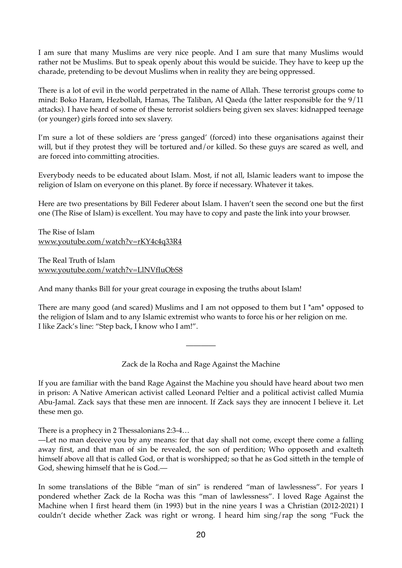I am sure that many Muslims are very nice people. And I am sure that many Muslims would rather not be Muslims. But to speak openly about this would be suicide. They have to keep up the charade, pretending to be devout Muslims when in reality they are being oppressed.

There is a lot of evil in the world perpetrated in the name of Allah. These terrorist groups come to mind: Boko Haram, Hezbollah, Hamas, The Taliban, Al Qaeda (the latter responsible for the 9/11 attacks). I have heard of some of these terrorist soldiers being given sex slaves: kidnapped teenage (or younger) girls forced into sex slavery.

I'm sure a lot of these soldiers are 'press ganged' (forced) into these organisations against their will, but if they protest they will be tortured and/or killed. So these guys are scared as well, and are forced into committing atrocities.

Everybody needs to be educated about Islam. Most, if not all, Islamic leaders want to impose the religion of Islam on everyone on this planet. By force if necessary. Whatever it takes.

Here are two presentations by Bill Federer about Islam. I haven't seen the second one but the first one (The Rise of Islam) is excellent. You may have to copy and paste the link into your browser.

The Rise of Islam www.youtube.com/watch?v=rKY4c4q33R4

The Real Truth of Islam [www.youtube.com/watch?v=LlNVfIuObS8](http://www.youtube.com/watch?v=LlNVfIuObS8)

And many thanks Bill for your great courage in exposing the truths about Islam!

There are many good (and scared) Muslims and I am not opposed to them but I \*am\* opposed to the religion of Islam and to any Islamic extremist who wants to force his or her religion on me. I like Zack's line: "Step back, I know who I am!".

Zack de la Rocha and Rage Against the Machine

————

If you are familiar with the band Rage Against the Machine you should have heard about two men in prison: A Native American activist called Leonard Peltier and a political activist called Mumia Abu-Jamal. Zack says that these men are innocent. If Zack says they are innocent I believe it. Let these men go.

There is a prophecy in 2 Thessalonians 2:3-4…

—Let no man deceive you by any means: for that day shall not come, except there come a falling away first, and that man of sin be revealed, the son of perdition; Who opposeth and exalteth himself above all that is called God, or that is worshipped; so that he as God sitteth in the temple of God, shewing himself that he is God.—

In some translations of the Bible "man of sin" is rendered "man of lawlessness". For years I pondered whether Zack de la Rocha was this "man of lawlessness". I loved Rage Against the Machine when I first heard them (in 1993) but in the nine years I was a Christian (2012-2021) I couldn't decide whether Zack was right or wrong. I heard him sing/rap the song "Fuck the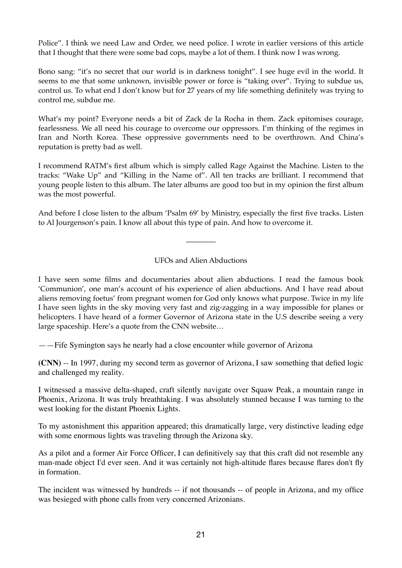Police". I think we need Law and Order, we need police. I wrote in earlier versions of this article that I thought that there were some bad cops, maybe a lot of them. I think now I was wrong.

Bono sang: "it's no secret that our world is in darkness tonight". I see huge evil in the world. It seems to me that some unknown, invisible power or force is "taking over". Trying to subdue us, control us. To what end I don't know but for 27 years of my life something definitely was trying to control me, subdue me.

What's my point? Everyone needs a bit of Zack de la Rocha in them. Zack epitomises courage, fearlessness. We all need his courage to overcome our oppressors. I'm thinking of the regimes in Iran and North Korea. These oppressive governments need to be overthrown. And China's reputation is pretty bad as well.

I recommend RATM's first album which is simply called Rage Against the Machine. Listen to the tracks: "Wake Up" and "Killing in the Name of". All ten tracks are brilliant. I recommend that young people listen to this album. The later albums are good too but in my opinion the first album was the most powerful.

And before I close listen to the album 'Psalm 69' by Ministry, especially the first five tracks. Listen to Al Jourgenson's pain. I know all about this type of pain. And how to overcome it.

UFOs and Alien Abductions

————

I have seen some films and documentaries about alien abductions. I read the famous book 'Communion', one man's account of his experience of alien abductions. And I have read about aliens removing foetus' from pregnant women for God only knows what purpose. Twice in my life I have seen lights in the sky moving very fast and zig-zagging in a way impossible for planes or helicopters. I have heard of a former Governor of Arizona state in the U.S describe seeing a very large spaceship. Here's a quote from the CNN website…

——Fife Symington says he nearly had a close encounter while governor of Arizona

**(CNN)** -- In 1997, during my second term as governor of Arizona, I saw something that defied logic and challenged my reality.

I witnessed a massive delta-shaped, craft silently navigate over Squaw Peak, a mountain range in Phoenix, Arizona. It was truly breathtaking. I was absolutely stunned because I was turning to the west looking for the distant Phoenix Lights.

To my astonishment this apparition appeared; this dramatically large, very distinctive leading edge with some enormous lights was traveling through the Arizona sky.

As a pilot and a former Air Force Officer, I can definitively say that this craft did not resemble any man-made object I'd ever seen. And it was certainly not high-altitude flares because flares don't fly in formation.

The incident was witnessed by hundreds -- if not thousands -- of people in Arizona, and my office was besieged with phone calls from very concerned Arizonians.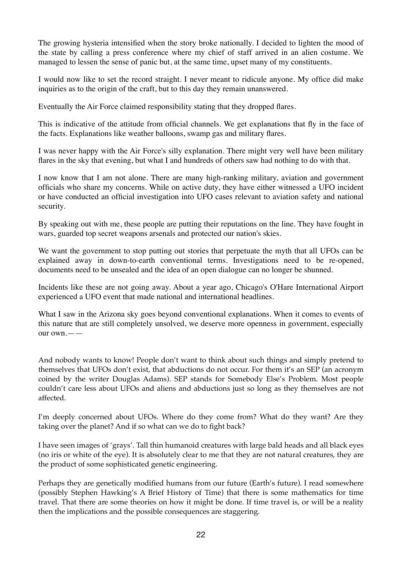The growing hysteria intensified when the story broke nationally. I decided to lighten the mood of the state by calling a press conference where my chief of staff arrived in an alien costume. We managed to lessen the sense of panic but, at the same time, upset many of my constituents.

I would now like to set the record straight. I never meant to ridicule anyone. My office did make inquiries as to the origin of the craft, but to this day they remain unanswered.

Eventually the Air Force claimed responsibility stating that they dropped flares.

This is indicative of the attitude from official channels. We get explanations that fly in the face of the facts. Explanations like weather balloons, swamp gas and military flares.

I was never happy with the Air Force's silly explanation. There might very well have been military flares in the sky that evening, but what I and hundreds of others saw had nothing to do with that.

I now know that I am not alone. There are many high-ranking military, aviation and government officials who share my concerns. While on active duty, they have either witnessed a UFO incident or have conducted an official investigation into UFO cases relevant to aviation safety and national security.

By speaking out with me, these people are putting their reputations on the line. They have fought in wars, guarded top secret weapons arsenals and protected our nation's skies.

We want the government to stop putting out stories that perpetuate the myth that all UFOs can be explained away in down-to-earth conventional terms. Investigations need to be re-opened, documents need to be unsealed and the idea of an open dialogue can no longer be shunned.

Incidents like these are not going away. About a year ago, Chicago's O'Hare International Airport experienced a UFO event that made national and international headlines.

What I saw in the Arizona sky goes beyond conventional explanations. When it comes to events of this nature that are still completely unsolved, we deserve more openness in government, especially our own.——

And nobody wants to know! People don't want to think about such things and simply pretend to themselves that UFOs don't exist, that abductions do not occur. For them it's an SEP (an acronym coined by the writer Douglas Adams). SEP stands for Somebody Else's Problem. Most people couldn't care less about UFOs and aliens and abductions just so long as they themselves are not affected.

I'm deeply concerned about UFOs. Where do they come from? What do they want? Are they taking over the planet? And if so what can we do to fight back?

I have seen images of 'grays'. Tall thin humanoid creatures with large bald heads and all black eyes (no iris or white of the eye). It is absolutely clear to me that they are not natural creatures, they are the product of some sophisticated genetic engineering.

Perhaps they are genetically modified humans from our future (Earth's future). I read somewhere (possibly Stephen Hawking's A Brief History of Time) that there is some mathematics for time travel. That there are some theories on how it might be done. If time travel is, or will be a reality then the implications and the possible consequences are staggering.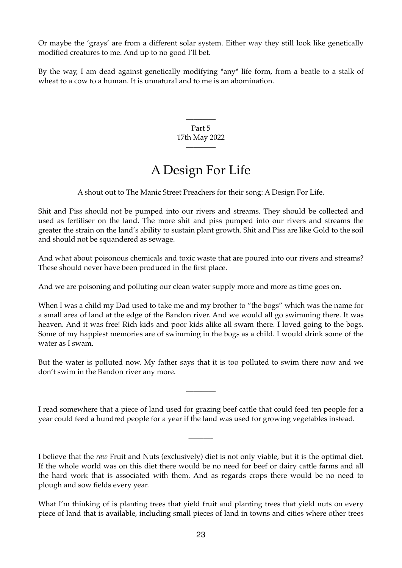Or maybe the 'grays' are from a different solar system. Either way they still look like genetically modified creatures to me. And up to no good I'll bet.

By the way, I am dead against genetically modifying \*any\* life form, from a beatle to a stalk of wheat to a cow to a human. It is unnatural and to me is an abomination.

> ———— Part 5 17th May 2022

> > ————

# A Design For Life

A shout out to The Manic Street Preachers for their song: A Design For Life.

Shit and Piss should not be pumped into our rivers and streams. They should be collected and used as fertiliser on the land. The more shit and piss pumped into our rivers and streams the greater the strain on the land's ability to sustain plant growth. Shit and Piss are like Gold to the soil and should not be squandered as sewage.

And what about poisonous chemicals and toxic waste that are poured into our rivers and streams? These should never have been produced in the first place.

And we are poisoning and polluting our clean water supply more and more as time goes on.

When I was a child my Dad used to take me and my brother to "the bogs" which was the name for a small area of land at the edge of the Bandon river. And we would all go swimming there. It was heaven. And it was free! Rich kids and poor kids alike all swam there. I loved going to the bogs. Some of my happiest memories are of swimming in the bogs as a child. I would drink some of the water as I swam.

But the water is polluted now. My father says that it is too polluted to swim there now and we don't swim in the Bandon river any more.

I read somewhere that a piece of land used for grazing beef cattle that could feed ten people for a year could feed a hundred people for a year if the land was used for growing vegetables instead.

———-

————

I believe that the *raw* Fruit and Nuts (exclusively) diet is not only viable, but it is the optimal diet. If the whole world was on this diet there would be no need for beef or dairy cattle farms and all the hard work that is associated with them. And as regards crops there would be no need to plough and sow fields every year.

What I'm thinking of is planting trees that yield fruit and planting trees that yield nuts on every piece of land that is available, including small pieces of land in towns and cities where other trees